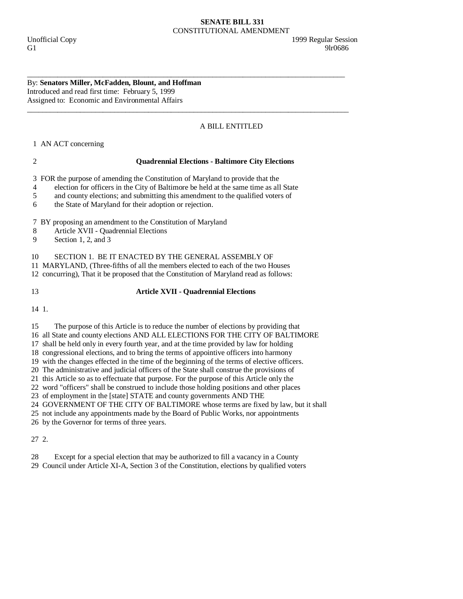## **SENATE BILL 331**  CONSTITUTIONAL AMENDMENT

### By: **Senators Miller, McFadden, Blount, and Hoffman**  Introduced and read first time: February 5, 1999 Assigned to: Economic and Environmental Affairs

# A BILL ENTITLED

1 AN ACT concerning

## 2 **Quadrennial Elections - Baltimore City Elections**

3 FOR the purpose of amending the Constitution of Maryland to provide that the

4 election for officers in the City of Baltimore be held at the same time as all State

\_\_\_\_\_\_\_\_\_\_\_\_\_\_\_\_\_\_\_\_\_\_\_\_\_\_\_\_\_\_\_\_\_\_\_\_\_\_\_\_\_\_\_\_\_\_\_\_\_\_\_\_\_\_\_\_\_\_\_\_\_\_\_\_\_\_\_\_\_\_\_\_\_\_\_\_\_\_\_\_\_\_\_\_

\_\_\_\_\_\_\_\_\_\_\_\_\_\_\_\_\_\_\_\_\_\_\_\_\_\_\_\_\_\_\_\_\_\_\_\_\_\_\_\_\_\_\_\_\_\_\_\_\_\_\_\_\_\_\_\_\_\_\_\_\_\_\_\_\_\_\_\_\_\_\_\_\_\_\_\_\_\_\_\_\_\_\_\_\_

5 and county elections; and submitting this amendment to the qualified voters of

6 the State of Maryland for their adoption or rejection.

7 BY proposing an amendment to the Constitution of Maryland

8 Article XVII - Quadrennial Elections

9 Section 1, 2, and 3

10 SECTION 1. BE IT ENACTED BY THE GENERAL ASSEMBLY OF

11 MARYLAND, (Three-fifths of all the members elected to each of the two Houses

12 concurring), That it be proposed that the Constitution of Maryland read as follows:

# 13 **Article XVII - Quadrennial Elections**

14 1.

15 The purpose of this Article is to reduce the number of elections by providing that

16 all State and county elections AND ALL ELECTIONS FOR THE CITY OF BALTIMORE

17 shall be held only in every fourth year, and at the time provided by law for holding

18 congressional elections, and to bring the terms of appointive officers into harmony

19 with the changes effected in the time of the beginning of the terms of elective officers.

20 The administrative and judicial officers of the State shall construe the provisions of

21 this Article so as to effectuate that purpose. For the purpose of this Article only the

22 word "officers" shall be construed to include those holding positions and other places

23 of employment in the [state] STATE and county governments AND THE

24 GOVERNMENT OF THE CITY OF BALTIMORE whose terms are fixed by law, but it shall

25 not include any appointments made by the Board of Public Works, nor appointments

26 by the Governor for terms of three years.

27 2.

28 Except for a special election that may be authorized to fill a vacancy in a County

29 Council under Article XI-A, Section 3 of the Constitution, elections by qualified voters